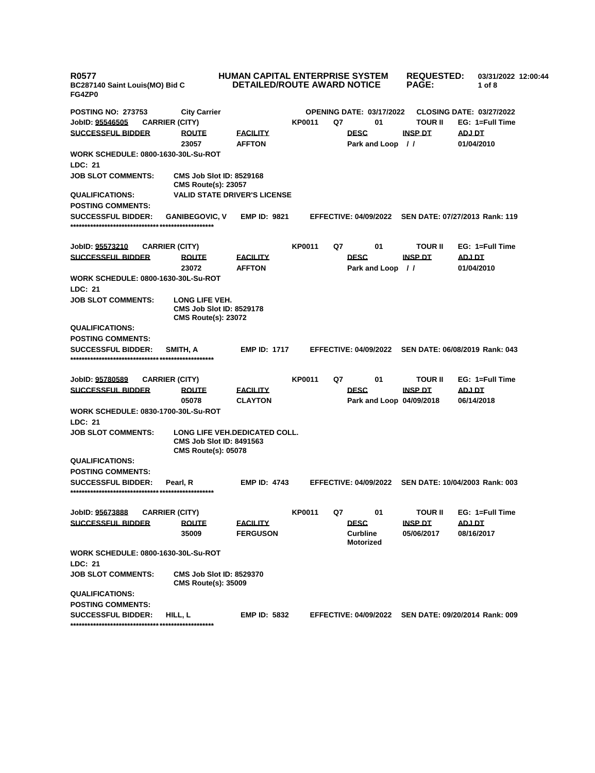| <b>R0577</b><br>BC287140 Saint Louis(MO) Bid C<br>FG4ZP0 |                                                                                 | <b>DETAILED/ROUTE AWARD NOTICE</b>  |               | <b>HUMAN CAPITAL ENTERPRISE SYSTEM</b> | <b>REQUESTED:</b><br><b>PAGE:</b> | 03/31/2022 12:00:44<br>1 of $8$ |
|----------------------------------------------------------|---------------------------------------------------------------------------------|-------------------------------------|---------------|----------------------------------------|-----------------------------------|---------------------------------|
| <b>POSTING NO: 273753</b>                                | <b>City Carrier</b>                                                             |                                     |               | <b>OPENING DATE: 03/17/2022</b>        |                                   | <b>CLOSING DATE: 03/27/2022</b> |
| JobID: 95546505                                          | <b>CARRIER (CITY)</b>                                                           |                                     | <b>KP0011</b> | Q7<br>01                               | <b>TOUR II</b>                    | EG: 1=Full Time                 |
| <b>SUCCESSFUL BIDDER</b>                                 | <b>ROUTE</b>                                                                    | <b>FACILITY</b>                     |               | <b>DESC</b>                            | <b>INSP DT</b>                    | <b>ADJ DT</b>                   |
|                                                          | 23057                                                                           | <b>AFFTON</b>                       |               | Park and Loop //                       |                                   | 01/04/2010                      |
| <b>WORK SCHEDULE: 0800-1630-30L-Su-ROT</b>               |                                                                                 |                                     |               |                                        |                                   |                                 |
| LDC: 21                                                  |                                                                                 |                                     |               |                                        |                                   |                                 |
| <b>JOB SLOT COMMENTS:</b>                                | <b>CMS Job Slot ID: 8529168</b><br><b>CMS Route(s): 23057</b>                   |                                     |               |                                        |                                   |                                 |
| <b>QUALIFICATIONS:</b>                                   |                                                                                 | <b>VALID STATE DRIVER'S LICENSE</b> |               |                                        |                                   |                                 |
| <b>POSTING COMMENTS:</b>                                 |                                                                                 |                                     |               |                                        |                                   |                                 |
| <b>SUCCESSFUL BIDDER:</b>                                | <b>GANIBEGOVIC, V</b>                                                           | <b>EMP ID: 9821</b>                 |               | <b>EFFECTIVE: 04/09/2022</b>           |                                   | SEN DATE: 07/27/2013 Rank: 119  |
| JobID: 95573210                                          | <b>CARRIER (CITY)</b>                                                           |                                     | KP0011        | Q7<br>01                               | <b>TOUR II</b>                    | EG: 1=Full Time                 |
| <b>SUCCESSFUL BIDDER</b>                                 | <b>ROUTE</b>                                                                    | <b>FACILITY</b>                     |               | <b>DESC</b>                            | <b>INSP DT</b>                    | <u>ADJ DT</u>                   |
|                                                          | 23072                                                                           | <b>AFFTON</b>                       |               | Park and Loop                          | $\prime$                          | 01/04/2010                      |
| WORK SCHEDULE: 0800-1630-30L-Su-ROT                      |                                                                                 |                                     |               |                                        |                                   |                                 |
| LDC: 21                                                  |                                                                                 |                                     |               |                                        |                                   |                                 |
| <b>JOB SLOT COMMENTS:</b>                                | LONG LIFE VEH.<br><b>CMS Job Slot ID: 8529178</b><br><b>CMS Route(s): 23072</b> |                                     |               |                                        |                                   |                                 |
| <b>QUALIFICATIONS:</b>                                   |                                                                                 |                                     |               |                                        |                                   |                                 |
| <b>POSTING COMMENTS:</b>                                 |                                                                                 |                                     |               |                                        |                                   |                                 |
| <b>SUCCESSFUL BIDDER:</b>                                | SMITH, A                                                                        | <b>EMP ID: 1717</b>                 |               | <b>EFFECTIVE: 04/09/2022</b>           |                                   | SEN DATE: 06/08/2019 Rank: 043  |
|                                                          |                                                                                 |                                     |               |                                        |                                   |                                 |
| JobID: 95780589                                          | <b>CARRIER (CITY)</b>                                                           |                                     | <b>KP0011</b> | Q7<br>01                               | <b>TOUR II</b>                    | EG: 1=Full Time                 |
| <b>SUCCESSFUL BIDDER</b>                                 | <b>ROUTE</b>                                                                    | <b>FACILITY</b>                     |               | <b>DESC</b>                            | <b>INSP DT</b>                    | <b>ADJ DT</b>                   |
|                                                          | 05078                                                                           | <b>CLAYTON</b>                      |               | Park and Loop 04/09/2018               |                                   | 06/14/2018                      |
| <b>WORK SCHEDULE: 0830-1700-30L-Su-ROT</b>               |                                                                                 |                                     |               |                                        |                                   |                                 |
| <b>LDC: 21</b>                                           |                                                                                 |                                     |               |                                        |                                   |                                 |
| <b>JOB SLOT COMMENTS:</b>                                | <b>CMS Job Slot ID: 8491563</b><br><b>CMS Route(s): 05078</b>                   | LONG LIFE VEH.DEDICATED COLL.       |               |                                        |                                   |                                 |
| <b>QUALIFICATIONS:</b>                                   |                                                                                 |                                     |               |                                        |                                   |                                 |
| <b>POSTING COMMENTS:</b>                                 |                                                                                 |                                     |               |                                        |                                   |                                 |
| <b>SUCCESSFUL BIDDER:</b>                                | Pearl, R                                                                        | <b>EMP ID: 4743</b>                 |               | <b>EFFECTIVE: 04/09/2022</b>           |                                   | SEN DATE: 10/04/2003 Rank: 003  |
|                                                          |                                                                                 |                                     |               |                                        |                                   |                                 |
| JobID: 95673888                                          | <b>CARRIER (CITY)</b>                                                           |                                     | KP0011        | Q7<br>01                               | <b>TOUR II</b>                    | EG: 1=Full Time                 |
| <b>SUCCESSFUL BIDDER</b>                                 | <b>ROUTE</b>                                                                    | <b>FACILITY</b>                     |               | <b>DESC</b>                            | <u>INSP DT</u>                    | ADJ DT                          |
|                                                          | 35009                                                                           | <b>FERGUSON</b>                     |               | <b>Curbline</b><br><b>Motorized</b>    | 05/06/2017                        | 08/16/2017                      |
| <b>WORK SCHEDULE: 0800-1630-30L-Su-ROT</b>               |                                                                                 |                                     |               |                                        |                                   |                                 |
| LDC: 21                                                  |                                                                                 |                                     |               |                                        |                                   |                                 |
| <b>JOB SLOT COMMENTS:</b>                                | <b>CMS Job Slot ID: 8529370</b><br><b>CMS Route(s): 35009</b>                   |                                     |               |                                        |                                   |                                 |
| <b>QUALIFICATIONS:</b>                                   |                                                                                 |                                     |               |                                        |                                   |                                 |
| <b>POSTING COMMENTS:</b>                                 |                                                                                 |                                     |               |                                        |                                   |                                 |
| <b>SUCCESSFUL BIDDER:</b>                                | HILL, L                                                                         | <b>EMP ID: 5832</b>                 |               | <b>EFFECTIVE: 04/09/2022</b>           |                                   | SEN DATE: 09/20/2014 Rank: 009  |
|                                                          |                                                                                 |                                     |               |                                        |                                   |                                 |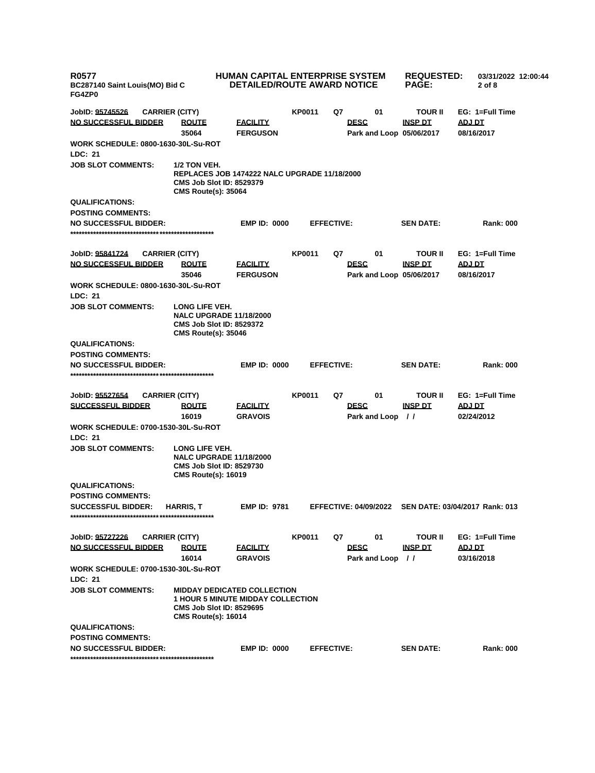| R0577<br>BC287140 Saint Louis(MO) Bid C<br>FG4ZP0     |                                                                                                                                                 | <b>HUMAN CAPITAL ENTERPRISE SYSTEM</b><br><b>DETAILED/ROUTE AWARD NOTICE</b> |               |                   |                          | <b>REQUESTED:</b><br><b>PAGE:</b> | 03/31/2022 12:00:44<br>$2$ of $8$                    |  |
|-------------------------------------------------------|-------------------------------------------------------------------------------------------------------------------------------------------------|------------------------------------------------------------------------------|---------------|-------------------|--------------------------|-----------------------------------|------------------------------------------------------|--|
| JobID: <u>95745526</u>                                | <b>CARRIER (CITY)</b>                                                                                                                           |                                                                              | <b>KP0011</b> | Q7                | 01                       | <b>TOUR II</b>                    | EG: 1=Full Time                                      |  |
| <u>NO SUCCESSFUL BIDDER</u>                           | <b>ROUTE</b>                                                                                                                                    | <b>FACILITY</b>                                                              |               |                   | <b>DESC</b>              | <b>INSP DT</b>                    | ADJ DT                                               |  |
|                                                       | 35064                                                                                                                                           | <b>FERGUSON</b>                                                              |               |                   | Park and Loop 05/06/2017 |                                   | 08/16/2017                                           |  |
| WORK SCHEDULE: 0800-1630-30L-Su-ROT                   |                                                                                                                                                 |                                                                              |               |                   |                          |                                   |                                                      |  |
| <b>LDC: 21</b>                                        |                                                                                                                                                 |                                                                              |               |                   |                          |                                   |                                                      |  |
| <b>JOB SLOT COMMENTS:</b>                             | 1/2 TON VEH.<br>REPLACES JOB 1474222 NALC UPGRADE 11/18/2000<br><b>CMS Job Slot ID: 8529379</b><br><b>CMS Route(s): 35064</b>                   |                                                                              |               |                   |                          |                                   |                                                      |  |
| <b>QUALIFICATIONS:</b>                                |                                                                                                                                                 |                                                                              |               |                   |                          |                                   |                                                      |  |
| <b>POSTING COMMENTS:</b>                              |                                                                                                                                                 |                                                                              |               |                   |                          |                                   |                                                      |  |
| <b>NO SUCCESSFUL BIDDER:</b>                          |                                                                                                                                                 | <b>EMP ID: 0000</b>                                                          |               | <b>EFFECTIVE:</b> |                          | <b>SEN DATE:</b>                  | <b>Rank: 000</b>                                     |  |
|                                                       |                                                                                                                                                 |                                                                              |               |                   |                          |                                   |                                                      |  |
| JobID: <u>95841724</u>                                | <b>CARRIER (CITY)</b>                                                                                                                           |                                                                              | KP0011        | Q7                | 01                       | <b>TOUR II</b>                    | EG: 1=Full Time                                      |  |
| <u>NO SUCCESSFUL BIDDER</u>                           | <b>ROUTE</b>                                                                                                                                    | <b>FACILITY</b>                                                              |               |                   | <b>DESC</b>              | <b>INSP DT</b>                    | <b>ADJ DT</b>                                        |  |
|                                                       | 35046                                                                                                                                           | <b>FERGUSON</b>                                                              |               |                   | Park and Loop 05/06/2017 |                                   | 08/16/2017                                           |  |
| WORK SCHEDULE: 0800-1630-30L-Su-ROT                   |                                                                                                                                                 |                                                                              |               |                   |                          |                                   |                                                      |  |
| <b>LDC: 21</b>                                        |                                                                                                                                                 |                                                                              |               |                   |                          |                                   |                                                      |  |
| <b>JOB SLOT COMMENTS:</b>                             | LONG LIFE VEH.<br><b>NALC UPGRADE 11/18/2000</b><br><b>CMS Job Slot ID: 8529372</b><br><b>CMS Route(s): 35046</b>                               |                                                                              |               |                   |                          |                                   |                                                      |  |
| <b>QUALIFICATIONS:</b>                                |                                                                                                                                                 |                                                                              |               |                   |                          |                                   |                                                      |  |
| <b>POSTING COMMENTS:</b>                              |                                                                                                                                                 |                                                                              |               |                   |                          |                                   |                                                      |  |
| NO SUCCESSFUL BIDDER:                                 |                                                                                                                                                 | <b>EMP ID: 0000</b>                                                          |               | <b>EFFECTIVE:</b> |                          | <b>SEN DATE:</b>                  | <b>Rank: 000</b>                                     |  |
| JobID: <u>95527654</u>                                | <b>CARRIER (CITY)</b>                                                                                                                           |                                                                              | <b>KP0011</b> | Q7                | 01                       | <b>TOUR II</b>                    | EG: 1=Full Time                                      |  |
| <b>SUCCESSFUL BIDDER</b>                              | <u>ROUTE</u>                                                                                                                                    | <b>FACILITY</b>                                                              |               |                   | <b>DESC</b>              | <b>INSP DT</b>                    | <b>ADJ DT</b>                                        |  |
|                                                       | 16019                                                                                                                                           | <b>GRAVOIS</b>                                                               |               |                   | Park and Loop //         |                                   | 02/24/2012                                           |  |
| WORK SCHEDULE: 0700-1530-30L-Su-ROT<br><b>LDC: 21</b> |                                                                                                                                                 |                                                                              |               |                   |                          |                                   |                                                      |  |
| <b>JOB SLOT COMMENTS:</b>                             | LONG LIFE VEH.<br><b>NALC UPGRADE 11/18/2000</b><br><b>CMS Job Slot ID: 8529730</b><br><b>CMS Route(s): 16019</b>                               |                                                                              |               |                   |                          |                                   |                                                      |  |
| <b>QUALIFICATIONS:</b>                                |                                                                                                                                                 |                                                                              |               |                   |                          |                                   |                                                      |  |
| <b>POSTING COMMENTS:</b>                              |                                                                                                                                                 |                                                                              |               |                   |                          |                                   |                                                      |  |
| <b>SUCCESSFUL BIDDER:</b>                             | <b>HARRIS, T</b>                                                                                                                                | <b>EMP ID: 9781</b>                                                          |               |                   |                          |                                   | EFFECTIVE: 04/09/2022 SEN DATE: 03/04/2017 Rank: 013 |  |
| JobID: <u>95727226</u>                                | <b>CARRIER (CITY)</b>                                                                                                                           |                                                                              | <b>KP0011</b> | Q7                | 01                       | <b>TOUR II</b>                    | EG: 1=Full Time                                      |  |
| <u>NO SUCCESSFUL BIDDER</u>                           | <b>ROUTE</b>                                                                                                                                    | <b>FACILITY</b>                                                              |               |                   | <b>DESC</b>              | <b>INSP DT</b>                    | ADJ DT                                               |  |
|                                                       | 16014                                                                                                                                           | <b>GRAVOIS</b>                                                               |               |                   | Park and Loop //         |                                   | 03/16/2018                                           |  |
| WORK SCHEDULE: 0700-1530-30L-Su-ROT                   |                                                                                                                                                 |                                                                              |               |                   |                          |                                   |                                                      |  |
| <b>LDC: 21</b>                                        |                                                                                                                                                 |                                                                              |               |                   |                          |                                   |                                                      |  |
| <b>JOB SLOT COMMENTS:</b>                             | <b>MIDDAY DEDICATED COLLECTION</b><br><b>1 HOUR 5 MINUTE MIDDAY COLLECTION</b><br><b>CMS Job Slot ID: 8529695</b><br><b>CMS Route(s): 16014</b> |                                                                              |               |                   |                          |                                   |                                                      |  |
| <b>QUALIFICATIONS:</b>                                |                                                                                                                                                 |                                                                              |               |                   |                          |                                   |                                                      |  |
| <b>POSTING COMMENTS:</b>                              |                                                                                                                                                 |                                                                              |               |                   |                          |                                   |                                                      |  |
| NO SUCCESSFUL BIDDER:                                 |                                                                                                                                                 | <b>EMP ID: 0000</b>                                                          |               | <b>EFFECTIVE:</b> |                          | <b>SEN DATE:</b>                  | <b>Rank: 000</b>                                     |  |
|                                                       |                                                                                                                                                 |                                                                              |               |                   |                          |                                   |                                                      |  |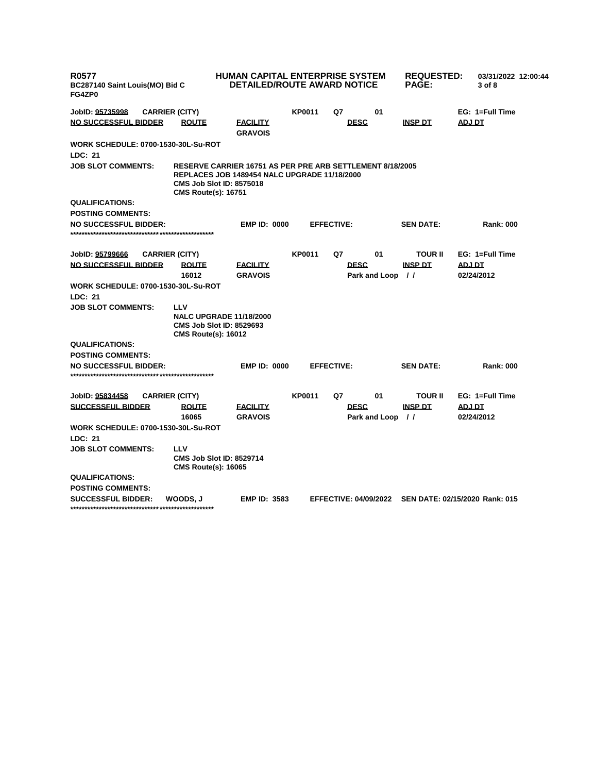| <b>R0577</b><br>BC287140 Saint Louis(MO) Bid C<br>FG4ZP0 | <b>HUMAN CAPITAL ENTERPRISE SYSTEM</b><br><b>DETAILED/ROUTE AWARD NOTICE</b> |                                                                                                                                                     |               | <b>REQUESTED:</b><br><b>PAGE:</b> | 03/31/2022 12:00:44<br>3 of 8 |                  |                                |
|----------------------------------------------------------|------------------------------------------------------------------------------|-----------------------------------------------------------------------------------------------------------------------------------------------------|---------------|-----------------------------------|-------------------------------|------------------|--------------------------------|
| JobID: 95735998                                          | <b>CARRIER (CITY)</b>                                                        |                                                                                                                                                     | <b>KP0011</b> | Q7                                | 01                            |                  | EG: 1=Full Time                |
| NO SUCCESSFUL BIDDER                                     | <b>ROUTE</b>                                                                 | <b>FACILITY</b><br><b>GRAVOIS</b>                                                                                                                   |               | <b>DESC</b>                       |                               | <b>INSP DT</b>   | <b>ADJ DT</b>                  |
| <b>WORK SCHEDULE: 0700-1530-30L-Su-ROT</b>               |                                                                              |                                                                                                                                                     |               |                                   |                               |                  |                                |
| <b>LDC: 21</b>                                           |                                                                              |                                                                                                                                                     |               |                                   |                               |                  |                                |
| <b>JOB SLOT COMMENTS:</b>                                | <b>CMS Route(s): 16751</b>                                                   | <b>RESERVE CARRIER 16751 AS PER PRE ARB SETTLEMENT 8/18/2005</b><br>REPLACES JOB 1489454 NALC UPGRADE 11/18/2000<br><b>CMS Job Slot ID: 8575018</b> |               |                                   |                               |                  |                                |
| <b>QUALIFICATIONS:</b>                                   |                                                                              |                                                                                                                                                     |               |                                   |                               |                  |                                |
| <b>POSTING COMMENTS:</b>                                 |                                                                              |                                                                                                                                                     |               |                                   |                               |                  |                                |
| <b>NO SUCCESSFUL BIDDER:</b>                             |                                                                              | <b>EMP ID: 0000</b>                                                                                                                                 |               | <b>EFFECTIVE:</b>                 |                               | <b>SEN DATE:</b> | <b>Rank: 000</b>               |
|                                                          |                                                                              |                                                                                                                                                     |               |                                   |                               |                  |                                |
| JobID: 95799666                                          | <b>CARRIER (CITY)</b>                                                        |                                                                                                                                                     | <b>KP0011</b> | Q7                                | 01                            | <b>TOUR II</b>   | EG: 1=Full Time                |
| <b>NO SUCCESSFUL BIDDER</b>                              | <b>ROUTE</b>                                                                 | <u>FACILITY</u>                                                                                                                                     |               | <b>DESC</b>                       |                               | <b>INSP DT</b>   | <b>ADJ DT</b>                  |
|                                                          | 16012                                                                        | <b>GRAVOIS</b>                                                                                                                                      |               |                                   | Park and Loop //              |                  | 02/24/2012                     |
| <b>WORK SCHEDULE: 0700-1530-30L-Su-ROT</b>               |                                                                              |                                                                                                                                                     |               |                                   |                               |                  |                                |
| LDC: 21                                                  |                                                                              |                                                                                                                                                     |               |                                   |                               |                  |                                |
| <b>JOB SLOT COMMENTS:</b>                                | LLV                                                                          |                                                                                                                                                     |               |                                   |                               |                  |                                |
|                                                          | <b>CMS Route(s): 16012</b>                                                   | <b>NALC UPGRADE 11/18/2000</b><br><b>CMS Job Slot ID: 8529693</b>                                                                                   |               |                                   |                               |                  |                                |
| <b>QUALIFICATIONS:</b>                                   |                                                                              |                                                                                                                                                     |               |                                   |                               |                  |                                |
| <b>POSTING COMMENTS:</b>                                 |                                                                              |                                                                                                                                                     |               |                                   |                               |                  |                                |
| <b>NO SUCCESSFUL BIDDER:</b>                             |                                                                              | <b>EMP ID: 0000</b>                                                                                                                                 |               | <b>EFFECTIVE:</b>                 |                               | <b>SEN DATE:</b> | <b>Rank: 000</b>               |
|                                                          |                                                                              |                                                                                                                                                     |               |                                   |                               |                  |                                |
| JobID: 95834458                                          | <b>CARRIER (CITY)</b>                                                        |                                                                                                                                                     | <b>KP0011</b> | Q7                                | 01                            | <b>TOUR II</b>   | EG: 1=Full Time                |
| <b>SUCCESSFUL BIDDER</b>                                 | <b>ROUTE</b>                                                                 | <b>FACILITY</b>                                                                                                                                     |               | <b>DESC</b>                       |                               | <b>INSP DT</b>   | <b>ADJ DT</b>                  |
|                                                          | 16065                                                                        | <b>GRAVOIS</b>                                                                                                                                      |               |                                   | Park and Loop //              |                  | 02/24/2012                     |
| <b>WORK SCHEDULE: 0700-1530-30L-Su-ROT</b>               |                                                                              |                                                                                                                                                     |               |                                   |                               |                  |                                |
| LDC: 21                                                  |                                                                              |                                                                                                                                                     |               |                                   |                               |                  |                                |
| <b>JOB SLOT COMMENTS:</b>                                | LLV<br><b>CMS Route(s): 16065</b>                                            | <b>CMS Job Slot ID: 8529714</b>                                                                                                                     |               |                                   |                               |                  |                                |
| <b>QUALIFICATIONS:</b>                                   |                                                                              |                                                                                                                                                     |               |                                   |                               |                  |                                |
| <b>POSTING COMMENTS:</b>                                 |                                                                              |                                                                                                                                                     |               |                                   |                               |                  |                                |
| <b>SUCCESSFUL BIDDER:</b>                                | WOODS. J                                                                     | <b>EMP ID: 3583</b>                                                                                                                                 |               | <b>EFFECTIVE: 04/09/2022</b>      |                               |                  | SEN DATE: 02/15/2020 Rank: 015 |
|                                                          |                                                                              |                                                                                                                                                     |               |                                   |                               |                  |                                |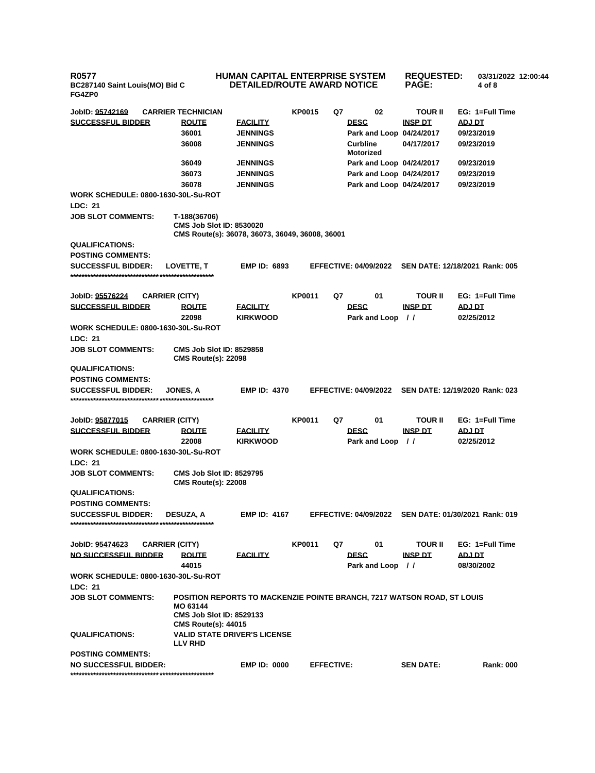**R0577 BC287140 Saint Louis(MO) Bid C FG4ZP0**

## **HUMAN CAPITAL ENTERPRISE SYSTEM DETAILED/ROUTE AWARD NOTICE**

**REQUESTED: PAGE:**

**03/31/2022 12:00:44**

**4 of 8** 

**JobID: 95742169 CARRIER TECHNICIAN KP0015 Q7 02 TOUR II EG: 1=Full Time SUCCESSFUL BIDDER ROUTE FACILITY DESC INSP DT ADJ DT 36001 JENNINGS Park and Loop 04/24/2017 09/23/2019 36008 JENNINGS Curbline Motorized 04/17/2017 09/23/2019 36049 JENNINGS Park and Loop 04/24/2017 09/23/2019 36073 JENNINGS Park and Loop 04/24/2017 09/23/2019 36078 JENNINGS Park and Loop 04/24/2017 09/23/2019 WORK SCHEDULE: 0800-1630-30L-Su-ROT LDC: 21 JOB SLOT COMMENTS: T-188(36706) CMS Job Slot ID: 8530020 CMS Route(s): 36078, 36073, 36049, 36008, 36001 QUALIFICATIONS: POSTING COMMENTS: SUCCESSFUL BIDDER: LOVETTE, T EMP ID: 6893 EFFECTIVE: 04/09/2022 SEN DATE: 12/18/2021 Rank: 005 \*\*\*\*\*\*\*\*\*\*\*\*\*\*\*\*\*\*\*\*\*\*\*\*\*\*\*\*\*\*\*\*\*\*\*\*\*\*\*\*\*\*\*\*\*\*\*\*\*\* JobID: 95576224 CARRIER (CITY) KP0011 Q7 01 TOUR II EG: 1=Full Time SUCCESSFUL BIDDER ROUTE FACILITY DESC INSP DT ADJ DT 22098 KIRKWOOD Park and Loop / / 02/25/2012 WORK SCHEDULE: 0800-1630-30L-Su-ROT LDC: 21 JOB SLOT COMMENTS: CMS Job Slot ID: 8529858 CMS Route(s): 22098 QUALIFICATIONS: POSTING COMMENTS: SUCCESSFUL BIDDER: JONES, A EMP ID: 4370 EFFECTIVE: 04/09/2022 SEN DATE: 12/19/2020 Rank: 023 \*\*\*\*\*\*\*\*\*\*\*\*\*\*\*\*\*\*\*\*\*\*\*\*\*\*\*\*\*\*\*\*\*\*\*\*\*\*\*\*\*\*\*\*\*\*\*\*\*\* JobID: 95877015 CARRIER (CITY) KP0011 Q7 01 TOUR II EG: 1=Full Time SUCCESSFUL BIDDER ROUTE FACILITY DESC INSP DT ADJ DT 22008 KIRKWOOD Park and Loop / / 02/25/2012 WORK SCHEDULE: 0800-1630-30L-Su-ROT LDC: 21 JOB SLOT COMMENTS: CMS Job Slot ID: 8529795 CMS Route(s): 22008 QUALIFICATIONS: POSTING COMMENTS: SUCCESSFUL BIDDER: DESUZA, A EMP ID: 4167 EFFECTIVE: 04/09/2022 SEN DATE: 01/30/2021 Rank: 019 \*\*\*\*\*\*\*\*\*\*\*\*\*\*\*\*\*\*\*\*\*\*\*\*\*\*\*\*\*\*\*\*\*\*\*\*\*\*\*\*\*\*\*\*\*\*\*\*\*\* JobID: 95474623 CARRIER (CITY) KP0011 Q7 01 TOUR II EG: 1=Full Time NO SUCCESSFUL BIDDER ROUTE FACILITY DESC INSP DT ADJ DT 44015 Park and Loop / / 08/30/2002 WORK SCHEDULE: 0800-1630-30L-Su-ROT LDC: 21 JOB SLOT COMMENTS: POSITION REPORTS TO MACKENZIE POINTE BRANCH, 7217 WATSON ROAD, ST LOUIS MO 63144 CMS Job Slot ID: 8529133 CMS Route(s): 44015 QUALIFICATIONS: VALID STATE DRIVER'S LICENSE LLV RHD POSTING COMMENTS: NO SUCCESSFUL BIDDER: EMP ID: 0000 EFFECTIVE: SEN DATE: Rank: 000**

**\*\*\*\*\*\*\*\*\*\*\*\*\*\*\*\*\*\*\*\*\*\*\*\*\*\*\*\*\*\*\*\*\*\*\*\*\*\*\*\*\*\*\*\*\*\*\*\*\*\***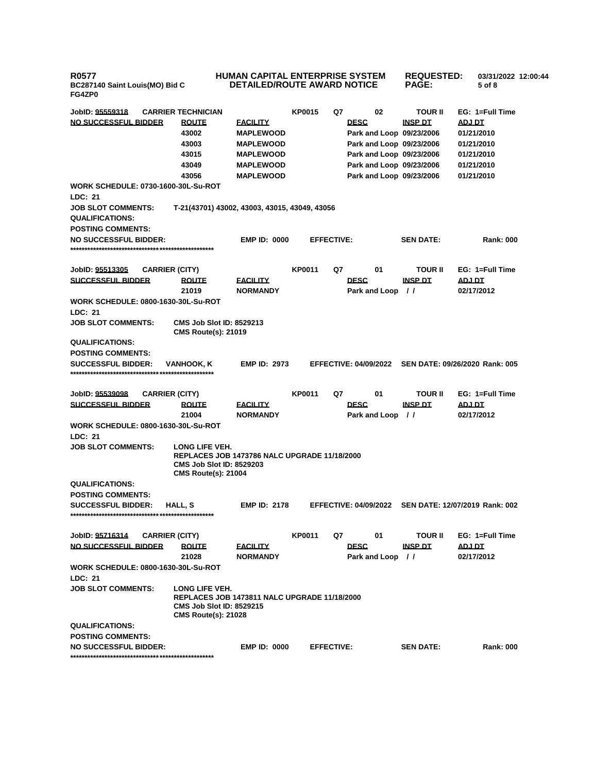**R0577 BC287140 Saint Louis(MO) Bid C FG4ZP0**

## **HUMAN CAPITAL ENTERPRISE SYSTEM DETAILED/ROUTE AWARD NOTICE REQUESTED: PAGE: 03/31/2022 12:00:44 5 of 8**

| JobID: <u>95559318</u>                                |                       | <b>CARRIER TECHNICIAN</b>                                     |                                               | <b>KP0015</b>     | Q7 | 02                           | <b>TOUR II</b>           | EG: 1=Full Time                |
|-------------------------------------------------------|-----------------------|---------------------------------------------------------------|-----------------------------------------------|-------------------|----|------------------------------|--------------------------|--------------------------------|
| <u>NO SUCCESSFUL BIDDER</u>                           |                       | <b>ROUTE</b>                                                  | <b>FACILITY</b>                               |                   |    | <b>DESC</b>                  | <u>INSP DT</u>           | ADJ DT                         |
|                                                       |                       | 43002                                                         | <b>MAPLEWOOD</b>                              |                   |    |                              | Park and Loop 09/23/2006 | 01/21/2010                     |
|                                                       |                       | 43003                                                         | <b>MAPLEWOOD</b>                              |                   |    |                              | Park and Loop 09/23/2006 | 01/21/2010                     |
|                                                       |                       | 43015                                                         | <b>MAPLEWOOD</b>                              |                   |    |                              | Park and Loop 09/23/2006 | 01/21/2010                     |
|                                                       |                       | 43049                                                         | <b>MAPLEWOOD</b>                              |                   |    |                              | Park and Loop 09/23/2006 | 01/21/2010                     |
|                                                       |                       | 43056                                                         | <b>MAPLEWOOD</b>                              |                   |    |                              | Park and Loop 09/23/2006 | 01/21/2010                     |
| WORK SCHEDULE: 0730-1600-30L-Su-ROT                   |                       |                                                               |                                               |                   |    |                              |                          |                                |
| LDC: 21                                               |                       |                                                               |                                               |                   |    |                              |                          |                                |
| <b>JOB SLOT COMMENTS:</b>                             |                       |                                                               | T-21(43701) 43002, 43003, 43015, 43049, 43056 |                   |    |                              |                          |                                |
| <b>QUALIFICATIONS:</b>                                |                       |                                                               |                                               |                   |    |                              |                          |                                |
| <b>POSTING COMMENTS:</b>                              |                       |                                                               |                                               |                   |    |                              |                          |                                |
| <b>NO SUCCESSFUL BIDDER:</b>                          |                       |                                                               | <b>EMP ID: 0000</b>                           | <b>EFFECTIVE:</b> |    |                              | <b>SEN DATE:</b>         | <b>Rank: 000</b>               |
|                                                       |                       |                                                               |                                               |                   |    |                              |                          |                                |
|                                                       |                       |                                                               |                                               |                   |    |                              |                          |                                |
| JobID: 95513305                                       | <b>CARRIER (CITY)</b> |                                                               |                                               | KP0011            | Q7 | 01                           | <b>TOUR II</b>           | EG: 1=Full Time                |
| SUCCESSFUL BIDDER                                     |                       | <b>ROUTE</b>                                                  | <b>FACILITY</b>                               |                   |    | <b>DESC</b>                  | <b>INSP DT</b>           | ADJ DT                         |
|                                                       |                       | 21019                                                         | <b>NORMANDY</b>                               |                   |    | Park and Loop                | $\prime$                 | 02/17/2012                     |
| <b>WORK SCHEDULE: 0800-1630-30L-Su-ROT</b>            |                       |                                                               |                                               |                   |    |                              |                          |                                |
| LDC: 21                                               |                       |                                                               |                                               |                   |    |                              |                          |                                |
| <b>JOB SLOT COMMENTS:</b>                             |                       | <b>CMS Job Slot ID: 8529213</b><br><b>CMS Route(s): 21019</b> |                                               |                   |    |                              |                          |                                |
| <b>QUALIFICATIONS:</b>                                |                       |                                                               |                                               |                   |    |                              |                          |                                |
| <b>POSTING COMMENTS:</b>                              |                       |                                                               |                                               |                   |    |                              |                          |                                |
| <b>SUCCESSFUL BIDDER:</b>                             |                       | VANHOOK. K                                                    | <b>EMP ID: 2973</b>                           |                   |    | <b>EFFECTIVE: 04/09/2022</b> |                          | SEN DATE: 09/26/2020 Rank: 005 |
|                                                       |                       |                                                               |                                               |                   |    |                              |                          |                                |
| JobID: 95539098                                       | <b>CARRIER (CITY)</b> |                                                               |                                               | <b>KP0011</b>     | Q7 | 01                           | <b>TOUR II</b>           | EG: 1=Full Time                |
| <b>SUCCESSFUL BIDDER</b>                              |                       | <b>ROUTE</b>                                                  | <b>FACILITY</b>                               |                   |    | <b>DESC</b>                  | <b>INSP DT</b>           | <u>ADJ DT</u>                  |
|                                                       |                       | 21004                                                         | <b>NORMANDY</b>                               |                   |    | Park and Loop                | $\prime$                 | 02/17/2012                     |
| WORK SCHEDULE: 0800-1630-30L-Su-ROT                   |                       |                                                               |                                               |                   |    |                              |                          |                                |
| <b>LDC: 21</b>                                        |                       |                                                               |                                               |                   |    |                              |                          |                                |
| <b>JOB SLOT COMMENTS:</b>                             |                       | LONG LIFE VEH.                                                |                                               |                   |    |                              |                          |                                |
|                                                       |                       |                                                               | REPLACES JOB 1473786 NALC UPGRADE 11/18/2000  |                   |    |                              |                          |                                |
|                                                       |                       | <b>CMS Job Slot ID: 8529203</b>                               |                                               |                   |    |                              |                          |                                |
|                                                       |                       | <b>CMS Route(s): 21004</b>                                    |                                               |                   |    |                              |                          |                                |
| <b>QUALIFICATIONS:</b>                                |                       |                                                               |                                               |                   |    |                              |                          |                                |
| <b>POSTING COMMENTS:</b><br><b>SUCCESSFUL BIDDER:</b> |                       |                                                               | <b>EMP ID: 2178</b>                           |                   |    |                              |                          | SEN DATE: 12/07/2019 Rank: 002 |
|                                                       | HALL, S               |                                                               |                                               |                   |    | <b>EFFECTIVE: 04/09/2022</b> |                          |                                |
|                                                       |                       |                                                               |                                               |                   |    |                              |                          |                                |
| JobID: <u>95716314</u>                                | <b>CARRIER (CITY)</b> |                                                               |                                               | <b>KP0011</b>     | Q7 | 01                           | <b>TOUR II</b>           | EG: 1=Full Time                |
| <b>NO SUCCESSFUL BIDDER</b>                           |                       | <b>ROUTE</b>                                                  | <b>FACILITY</b>                               |                   |    | <b>DESC</b>                  | <u>INSP DT</u>           | <b>ADJ DT</b>                  |
|                                                       |                       | 21028                                                         | <b>NORMANDY</b>                               |                   |    | Park and Loop //             |                          | 02/17/2012                     |
| WORK SCHEDULE: 0800-1630-30L-Su-ROT                   |                       |                                                               |                                               |                   |    |                              |                          |                                |
| LDC: 21                                               |                       |                                                               |                                               |                   |    |                              |                          |                                |
| <b>JOB SLOT COMMENTS:</b>                             |                       | LONG LIFE VEH.                                                |                                               |                   |    |                              |                          |                                |
|                                                       |                       |                                                               | REPLACES JOB 1473811 NALC UPGRADE 11/18/2000  |                   |    |                              |                          |                                |
|                                                       |                       | <b>CMS Job Slot ID: 8529215</b>                               |                                               |                   |    |                              |                          |                                |
|                                                       |                       | <b>CMS Route(s): 21028</b>                                    |                                               |                   |    |                              |                          |                                |
| <b>QUALIFICATIONS:</b><br><b>POSTING COMMENTS:</b>    |                       |                                                               |                                               |                   |    |                              |                          |                                |
| <b>NO SUCCESSFUL BIDDER:</b>                          |                       |                                                               | <b>EMP ID: 0000</b>                           | <b>EFFECTIVE:</b> |    |                              | <b>SEN DATE:</b>         | <b>Rank: 000</b>               |
|                                                       |                       |                                                               |                                               |                   |    |                              |                          |                                |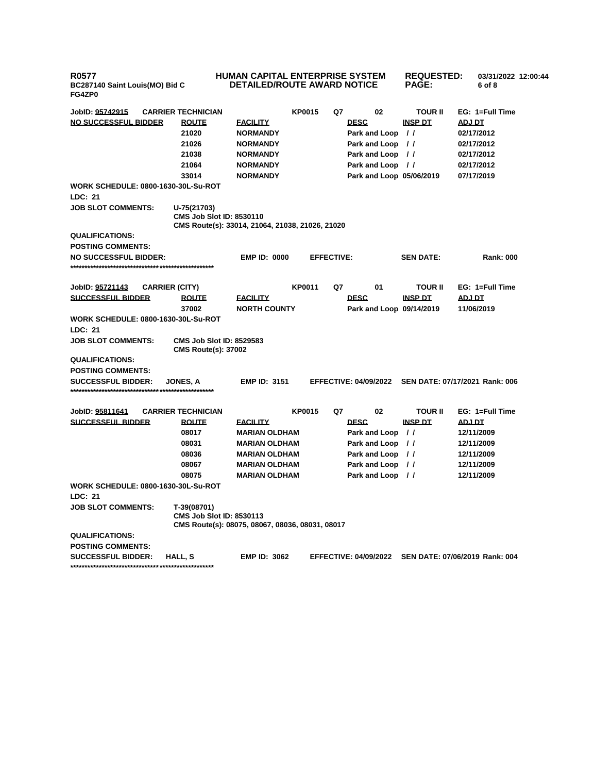**R0577 BC287140 Saint Louis(MO) Bid C FG4ZP0**

## **HUMAN CAPITAL ENTERPRISE SYSTEM DETAILED/ROUTE AWARD NOTICE PAGE:**

**REQUESTED: 03/31/2022 12:00:44 6 of 8** 

| JobID: 95742915                                              | <b>CARRIER TECHNICIAN</b>                                     |                                                 | <b>KP0015</b> | Q7                | 02                           | <b>TOUR II</b>   | EG: 1=Full Time                |
|--------------------------------------------------------------|---------------------------------------------------------------|-------------------------------------------------|---------------|-------------------|------------------------------|------------------|--------------------------------|
| NO SUCCESSFUL BIDDER                                         | <b>ROUTE</b>                                                  | <b>FACILITY</b>                                 |               |                   | <b>DESC</b>                  | <b>INSP DT</b>   | ADJ DT                         |
|                                                              | 21020                                                         | <b>NORMANDY</b>                                 |               |                   | Park and Loop //             |                  | 02/17/2012                     |
|                                                              | 21026                                                         | <b>NORMANDY</b>                                 |               |                   | Park and Loop //             |                  | 02/17/2012                     |
|                                                              | 21038                                                         | <b>NORMANDY</b>                                 |               |                   | Park and Loop //             |                  | 02/17/2012                     |
|                                                              | 21064                                                         | <b>NORMANDY</b>                                 |               |                   | Park and Loop //             |                  | 02/17/2012                     |
|                                                              | 33014                                                         | <b>NORMANDY</b>                                 |               |                   | Park and Loop 05/06/2019     |                  | 07/17/2019                     |
| <b>WORK SCHEDULE: 0800-1630-30L-Su-ROT</b>                   |                                                               |                                                 |               |                   |                              |                  |                                |
| <b>LDC: 21</b>                                               |                                                               |                                                 |               |                   |                              |                  |                                |
| <b>JOB SLOT COMMENTS:</b>                                    | U-75(21703)<br><b>CMS Job Slot ID: 8530110</b>                |                                                 |               |                   |                              |                  |                                |
|                                                              |                                                               | CMS Route(s): 33014, 21064, 21038, 21026, 21020 |               |                   |                              |                  |                                |
| <b>QUALIFICATIONS:</b>                                       |                                                               |                                                 |               |                   |                              |                  |                                |
| <b>POSTING COMMENTS:</b>                                     |                                                               |                                                 |               |                   |                              |                  |                                |
| <b>NO SUCCESSFUL BIDDER:</b>                                 |                                                               | <b>EMP ID: 0000</b>                             |               | <b>EFFECTIVE:</b> |                              | <b>SEN DATE:</b> | <b>Rank: 000</b>               |
|                                                              |                                                               |                                                 |               |                   |                              |                  |                                |
|                                                              |                                                               |                                                 |               |                   |                              |                  |                                |
| JobID: 95721143<br><b>CARRIER (CITY)</b>                     |                                                               |                                                 | KP0011        | Q7                | 01                           | <b>TOUR II</b>   | EG: 1=Full Time                |
| <b>SUCCESSFUL BIDDER</b>                                     | <b>ROUTE</b>                                                  | <b>FACILITY</b>                                 |               |                   | <b>DESC</b>                  | <b>INSP DT</b>   | ADJ DT                         |
|                                                              | 37002                                                         | <b>NORTH COUNTY</b>                             |               |                   | Park and Loop 09/14/2019     |                  | 11/06/2019                     |
| <b>WORK SCHEDULE: 0800-1630-30L-Su-ROT</b>                   |                                                               |                                                 |               |                   |                              |                  |                                |
| LDC: 21                                                      |                                                               |                                                 |               |                   |                              |                  |                                |
| <b>JOB SLOT COMMENTS:</b>                                    | <b>CMS Job Slot ID: 8529583</b><br><b>CMS Route(s): 37002</b> |                                                 |               |                   |                              |                  |                                |
| <b>QUALIFICATIONS:</b>                                       |                                                               |                                                 |               |                   |                              |                  |                                |
| <b>POSTING COMMENTS:</b>                                     |                                                               |                                                 |               |                   |                              |                  |                                |
| <b>SUCCESSFUL BIDDER:</b>                                    | <b>JONES, A</b>                                               | <b>EMP ID: 3151</b>                             |               |                   | <b>EFFECTIVE: 04/09/2022</b> |                  | SEN DATE: 07/17/2021 Rank: 006 |
|                                                              |                                                               |                                                 |               |                   |                              |                  |                                |
|                                                              |                                                               |                                                 | <b>KP0015</b> |                   | 02                           | <b>TOUR II</b>   | EG: 1=Full Time                |
| JobID: 95811641<br><b>SUCCESSFUL BIDDER</b>                  | <b>CARRIER TECHNICIAN</b><br><b>ROUTE</b>                     |                                                 |               | Q7                | <b>DESC</b>                  | <b>INSP DT</b>   | <b>ADJ DT</b>                  |
|                                                              | 08017                                                         | <b>FACILITY</b>                                 |               |                   |                              |                  |                                |
|                                                              |                                                               | <b>MARIAN OLDHAM</b>                            |               |                   | Park and Loop //             |                  | 12/11/2009                     |
|                                                              | 08031                                                         | <b>MARIAN OLDHAM</b>                            |               |                   | Park and Loop //             |                  | 12/11/2009                     |
|                                                              | 08036                                                         | <b>MARIAN OLDHAM</b>                            |               |                   | Park and Loop //             |                  | 12/11/2009                     |
|                                                              | 08067                                                         | <b>MARIAN OLDHAM</b>                            |               |                   | Park and Loop //             |                  | 12/11/2009                     |
|                                                              | 08075                                                         | <b>MARIAN OLDHAM</b>                            |               |                   | Park and Loop //             |                  | 12/11/2009                     |
| <b>WORK SCHEDULE: 0800-1630-30L-Su-ROT</b><br><b>LDC: 21</b> |                                                               |                                                 |               |                   |                              |                  |                                |
| <b>JOB SLOT COMMENTS:</b>                                    | T-39(08701)                                                   |                                                 |               |                   |                              |                  |                                |
|                                                              | <b>CMS Job Slot ID: 8530113</b>                               |                                                 |               |                   |                              |                  |                                |
|                                                              |                                                               | CMS Route(s): 08075, 08067, 08036, 08031, 08017 |               |                   |                              |                  |                                |
| <b>QUALIFICATIONS:</b>                                       |                                                               |                                                 |               |                   |                              |                  |                                |
| <b>POSTING COMMENTS:</b>                                     |                                                               |                                                 |               |                   |                              |                  |                                |
| <b>SUCCESSFUL BIDDER:</b>                                    | HALL, S                                                       | <b>EMP ID: 3062</b>                             |               |                   | <b>EFFECTIVE: 04/09/2022</b> |                  | SEN DATE: 07/06/2019 Rank: 004 |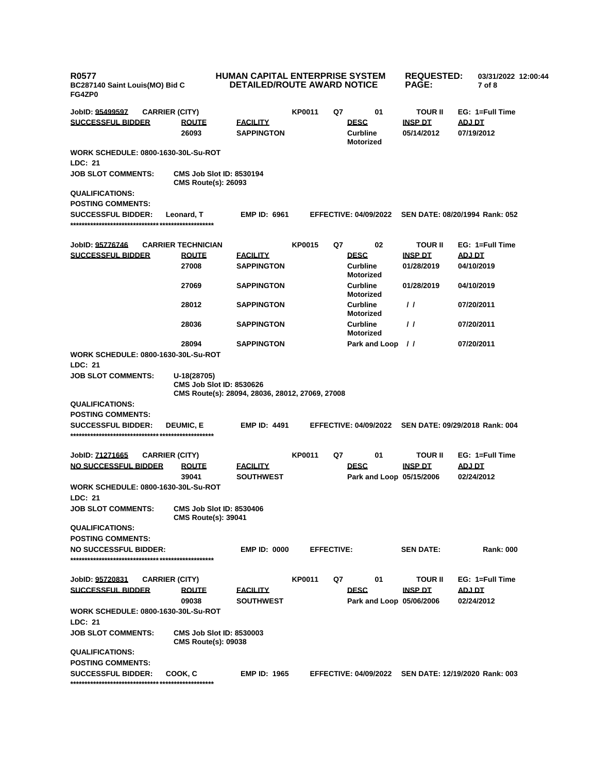| <b>R0577</b><br>BC287140 Saint Louis(MO) Bid C<br>FG4ZP0 |                                                                                                   | <b>HUMAN CAPITAL ENTERPRISE SYSTEM</b><br><b>DETAILED/ROUTE AWARD NOTICE</b> |                   | <b>REQUESTED:</b><br><b>PAGE:</b>   | 03/31/2022 12:00:44<br>7 of 8           |                  |                                                      |
|----------------------------------------------------------|---------------------------------------------------------------------------------------------------|------------------------------------------------------------------------------|-------------------|-------------------------------------|-----------------------------------------|------------------|------------------------------------------------------|
| JobID: 95499597                                          | <b>CARRIER (CITY)</b>                                                                             |                                                                              | <b>KP0011</b>     | Q7                                  | 01                                      | <b>TOUR II</b>   | EG: 1=Full Time                                      |
| <b>SUCCESSFUL BIDDER</b>                                 | <b>ROUTE</b>                                                                                      | <b>FACILITY</b>                                                              |                   |                                     | <b>DESC</b>                             | <b>INSP DT</b>   | <b>ADJ DT</b>                                        |
|                                                          | 26093                                                                                             | <b>SAPPINGTON</b>                                                            |                   | <b>Curbline</b><br><b>Motorized</b> |                                         | 05/14/2012       | 07/19/2012                                           |
| <b>WORK SCHEDULE: 0800-1630-30L-Su-ROT</b><br>LDC: 21    |                                                                                                   |                                                                              |                   |                                     |                                         |                  |                                                      |
| <b>JOB SLOT COMMENTS:</b>                                | <b>CMS Job Slot ID: 8530194</b><br><b>CMS Route(s): 26093</b>                                     |                                                                              |                   |                                     |                                         |                  |                                                      |
| <b>QUALIFICATIONS:</b><br><b>POSTING COMMENTS:</b>       |                                                                                                   |                                                                              |                   |                                     |                                         |                  |                                                      |
| <b>SUCCESSFUL BIDDER:</b>                                | Leonard, T                                                                                        | <b>EMP ID: 6961</b>                                                          |                   |                                     | <b>EFFECTIVE: 04/09/2022</b>            |                  | SEN DATE: 08/20/1994 Rank: 052                       |
| JobID: 95776746                                          | <b>CARRIER TECHNICIAN</b>                                                                         |                                                                              | <b>KP0015</b>     | Q7                                  | 02                                      | <b>TOUR II</b>   | EG: 1=Full Time                                      |
| <b>SUCCESSFUL BIDDER</b>                                 | <b>ROUTE</b>                                                                                      | <u>FACILITY</u>                                                              |                   |                                     | <b>DESC</b>                             | <b>INSP DT</b>   | <b>ADJ DT</b>                                        |
|                                                          | 27008                                                                                             | <b>SAPPINGTON</b>                                                            |                   |                                     | <b>Curbline</b><br><b>Motorized</b>     | 01/28/2019       | 04/10/2019                                           |
|                                                          | 27069                                                                                             | <b>SAPPINGTON</b>                                                            |                   |                                     | <b>Curbline</b><br><b>Motorized</b>     | 01/28/2019       | 04/10/2019                                           |
|                                                          | 28012                                                                                             | <b>SAPPINGTON</b>                                                            |                   |                                     | <b>Curbline</b><br><b>Motorized</b>     | $\prime$         | 07/20/2011                                           |
|                                                          | 28036                                                                                             | <b>SAPPINGTON</b>                                                            |                   |                                     | <b>Curbline</b><br><b>Motorized</b>     | $\prime\prime$   | 07/20/2011                                           |
|                                                          | 28094                                                                                             | <b>SAPPINGTON</b>                                                            |                   |                                     | Park and Loop                           | $\prime\prime$   | 07/20/2011                                           |
| <b>WORK SCHEDULE: 0800-1630-30L-Su-ROT</b>               |                                                                                                   |                                                                              |                   |                                     |                                         |                  |                                                      |
| LDC: 21<br><b>JOB SLOT COMMENTS:</b>                     | U-18(28705)<br><b>CMS Job Slot ID: 8530626</b><br>CMS Route(s): 28094, 28036, 28012, 27069, 27008 |                                                                              |                   |                                     |                                         |                  |                                                      |
| <b>QUALIFICATIONS:</b>                                   |                                                                                                   |                                                                              |                   |                                     |                                         |                  |                                                      |
| <b>POSTING COMMENTS:</b>                                 |                                                                                                   |                                                                              |                   |                                     |                                         |                  |                                                      |
| <b>SUCCESSFUL BIDDER:</b>                                | <b>DEUMIC, E</b>                                                                                  | <b>EMP ID: 4491</b>                                                          |                   |                                     | <b>EFFECTIVE: 04/09/2022</b>            |                  | SEN DATE: 09/29/2018 Rank: 004                       |
| JobID: 71271665                                          | <b>CARRIER (CITY)</b>                                                                             |                                                                              | <b>KP0011</b>     | Q7                                  | 01                                      | <b>TOUR II</b>   | EG: 1=Full Time                                      |
| <b>NO SUCCESSFUL BIDDER</b>                              | <b>ROUTE</b>                                                                                      | <u>FACILITY</u>                                                              |                   |                                     | <b>DESC</b>                             | <b>INSP DT</b>   | <b>ADJ DT</b>                                        |
|                                                          | 39041                                                                                             | <b>SOUTHWEST</b>                                                             |                   |                                     | Park and Loop 05/15/2006                |                  | 02/24/2012                                           |
| <b>WORK SCHEDULE: 0800-1630-30L-Su-ROT</b>               |                                                                                                   |                                                                              |                   |                                     |                                         |                  |                                                      |
| LDC: 21                                                  |                                                                                                   |                                                                              |                   |                                     |                                         |                  |                                                      |
| <b>JOB SLOT COMMENTS:</b>                                | CMS Job Slot ID: 8530406<br><b>CMS Route(s): 39041</b>                                            |                                                                              |                   |                                     |                                         |                  |                                                      |
| <b>QUALIFICATIONS:</b>                                   |                                                                                                   |                                                                              |                   |                                     |                                         |                  |                                                      |
| <b>POSTING COMMENTS:</b>                                 |                                                                                                   |                                                                              |                   |                                     |                                         |                  |                                                      |
| <b>NO SUCCESSFUL BIDDER:</b>                             |                                                                                                   | <b>EMP ID: 0000</b>                                                          | <b>EFFECTIVE:</b> |                                     |                                         | <b>SEN DATE:</b> | <b>Rank: 000</b>                                     |
| JobID: 95720831                                          | <b>CARRIER (CITY)</b>                                                                             |                                                                              | <b>KP0011</b>     | Q7                                  | 01                                      | <b>TOUR II</b>   | EG: 1=Full Time                                      |
| <b>SUCCESSFUL BIDDER</b>                                 | <b>ROUTE</b><br>09038                                                                             | <u>FACILITY</u><br><b>SOUTHWEST</b>                                          |                   |                                     | <b>DESC</b><br>Park and Loop 05/06/2006 | INSP DT          | <b>ADJ DT</b><br>02/24/2012                          |
| WORK SCHEDULE: 0800-1630-30L-Su-ROT<br>LDC: 21           |                                                                                                   |                                                                              |                   |                                     |                                         |                  |                                                      |
| <b>JOB SLOT COMMENTS:</b>                                | <b>CMS Job Slot ID: 8530003</b><br><b>CMS Route(s): 09038</b>                                     |                                                                              |                   |                                     |                                         |                  |                                                      |
| <b>QUALIFICATIONS:</b>                                   |                                                                                                   |                                                                              |                   |                                     |                                         |                  |                                                      |
| <b>POSTING COMMENTS:</b>                                 |                                                                                                   |                                                                              |                   |                                     |                                         |                  |                                                      |
| <b>SUCCESSFUL BIDDER:</b>                                | COOK, C                                                                                           | <b>EMP ID: 1965</b>                                                          |                   |                                     |                                         |                  | EFFECTIVE: 04/09/2022 SEN DATE: 12/19/2020 Rank: 003 |